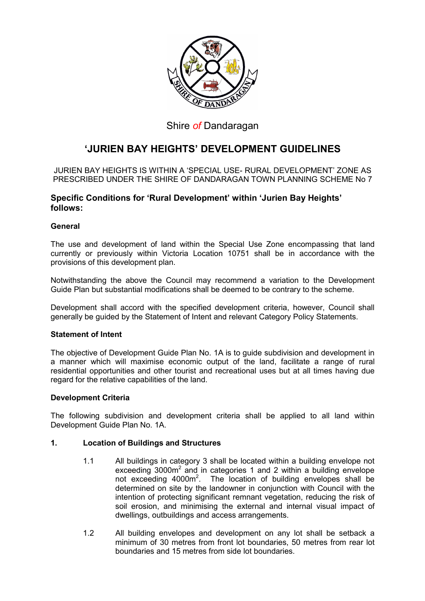

# Shire of Dandaragan

# 'JURIEN BAY HEIGHTS' DEVELOPMENT GUIDELINES

JURIEN BAY HEIGHTS IS WITHIN A 'SPECIAL USE- RURAL DEVELOPMENT' ZONE AS PRESCRIBED UNDER THE SHIRE OF DANDARAGAN TOWN PLANNING SCHEME No 7

# Specific Conditions for 'Rural Development' within 'Jurien Bay Heights' follows:

# General

The use and development of land within the Special Use Zone encompassing that land currently or previously within Victoria Location 10751 shall be in accordance with the provisions of this development plan.

Notwithstanding the above the Council may recommend a variation to the Development Guide Plan but substantial modifications shall be deemed to be contrary to the scheme.

Development shall accord with the specified development criteria, however, Council shall generally be guided by the Statement of Intent and relevant Category Policy Statements.

# Statement of Intent

The objective of Development Guide Plan No. 1A is to guide subdivision and development in a manner which will maximise economic output of the land, facilitate a range of rural residential opportunities and other tourist and recreational uses but at all times having due regard for the relative capabilities of the land.

# Development Criteria

The following subdivision and development criteria shall be applied to all land within Development Guide Plan No. 1A.

# 1. Location of Buildings and Structures

- 1.1 All buildings in category 3 shall be located within a building envelope not exceeding  $3000m^2$  and in categories 1 and 2 within a building envelope not exceeding  $4000m^2$ . The location of building envelopes shall be determined on site by the landowner in conjunction with Council with the intention of protecting significant remnant vegetation, reducing the risk of soil erosion, and minimising the external and internal visual impact of dwellings, outbuildings and access arrangements.
- 1.2 All building envelopes and development on any lot shall be setback a minimum of 30 metres from front lot boundaries, 50 metres from rear lot boundaries and 15 metres from side lot boundaries.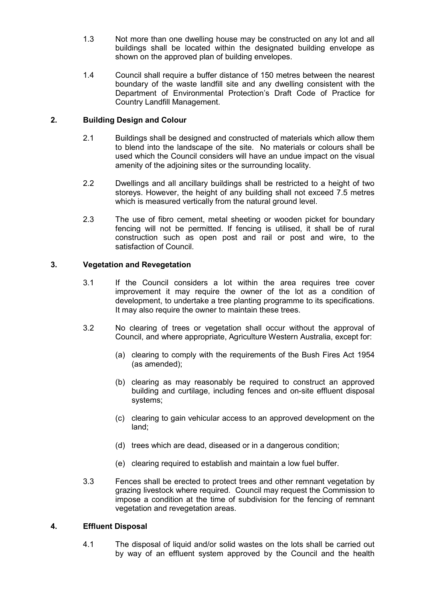- 1.3 Not more than one dwelling house may be constructed on any lot and all buildings shall be located within the designated building envelope as shown on the approved plan of building envelopes.
- 1.4 Council shall require a buffer distance of 150 metres between the nearest boundary of the waste landfill site and any dwelling consistent with the Department of Environmental Protection's Draft Code of Practice for Country Landfill Management.

# 2. Building Design and Colour

- 2.1 Buildings shall be designed and constructed of materials which allow them to blend into the landscape of the site. No materials or colours shall be used which the Council considers will have an undue impact on the visual amenity of the adjoining sites or the surrounding locality.
- 2.2 Dwellings and all ancillary buildings shall be restricted to a height of two storeys. However, the height of any building shall not exceed 7.5 metres which is measured vertically from the natural ground level.
- 2.3 The use of fibro cement, metal sheeting or wooden picket for boundary fencing will not be permitted. If fencing is utilised, it shall be of rural construction such as open post and rail or post and wire, to the satisfaction of Council.

# 3. Vegetation and Revegetation

- 3.1 If the Council considers a lot within the area requires tree cover improvement it may require the owner of the lot as a condition of development, to undertake a tree planting programme to its specifications. It may also require the owner to maintain these trees.
- 3.2 No clearing of trees or vegetation shall occur without the approval of Council, and where appropriate, Agriculture Western Australia, except for:
	- (a) clearing to comply with the requirements of the Bush Fires Act 1954 (as amended);
	- (b) clearing as may reasonably be required to construct an approved building and curtilage, including fences and on-site effluent disposal systems;
	- (c) clearing to gain vehicular access to an approved development on the land;
	- (d) trees which are dead, diseased or in a dangerous condition;
	- (e) clearing required to establish and maintain a low fuel buffer.
- 3.3 Fences shall be erected to protect trees and other remnant vegetation by grazing livestock where required. Council may request the Commission to impose a condition at the time of subdivision for the fencing of remnant vegetation and revegetation areas.

# 4. Effluent Disposal

4.1 The disposal of liquid and/or solid wastes on the lots shall be carried out by way of an effluent system approved by the Council and the health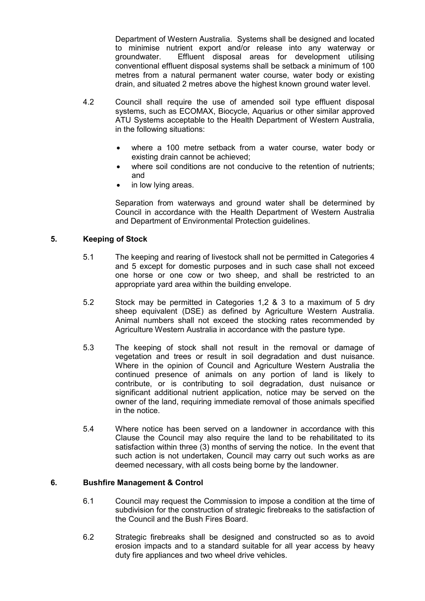Department of Western Australia. Systems shall be designed and located to minimise nutrient export and/or release into any waterway or groundwater. Effluent disposal areas for development utilising conventional effluent disposal systems shall be setback a minimum of 100 metres from a natural permanent water course, water body or existing drain, and situated 2 metres above the highest known ground water level.

- 4.2 Council shall require the use of amended soil type effluent disposal systems, such as ECOMAX, Biocycle, Aquarius or other similar approved ATU Systems acceptable to the Health Department of Western Australia, in the following situations:
	- where a 100 metre setback from a water course, water body or existing drain cannot be achieved;
	- where soil conditions are not conducive to the retention of nutrients; and
	- in low lying areas.

Separation from waterways and ground water shall be determined by Council in accordance with the Health Department of Western Australia and Department of Environmental Protection guidelines.

# 5. Keeping of Stock

- 5.1 The keeping and rearing of livestock shall not be permitted in Categories 4 and 5 except for domestic purposes and in such case shall not exceed one horse or one cow or two sheep, and shall be restricted to an appropriate yard area within the building envelope.
- 5.2 Stock may be permitted in Categories 1,2 & 3 to a maximum of 5 dry sheep equivalent (DSE) as defined by Agriculture Western Australia. Animal numbers shall not exceed the stocking rates recommended by Agriculture Western Australia in accordance with the pasture type.
- 5.3 The keeping of stock shall not result in the removal or damage of vegetation and trees or result in soil degradation and dust nuisance. Where in the opinion of Council and Agriculture Western Australia the continued presence of animals on any portion of land is likely to contribute, or is contributing to soil degradation, dust nuisance or significant additional nutrient application, notice may be served on the owner of the land, requiring immediate removal of those animals specified in the notice.
- 5.4 Where notice has been served on a landowner in accordance with this Clause the Council may also require the land to be rehabilitated to its satisfaction within three (3) months of serving the notice. In the event that such action is not undertaken, Council may carry out such works as are deemed necessary, with all costs being borne by the landowner.

# 6. Bushfire Management & Control

- 6.1 Council may request the Commission to impose a condition at the time of subdivision for the construction of strategic firebreaks to the satisfaction of the Council and the Bush Fires Board.
- 6.2 Strategic firebreaks shall be designed and constructed so as to avoid erosion impacts and to a standard suitable for all year access by heavy duty fire appliances and two wheel drive vehicles.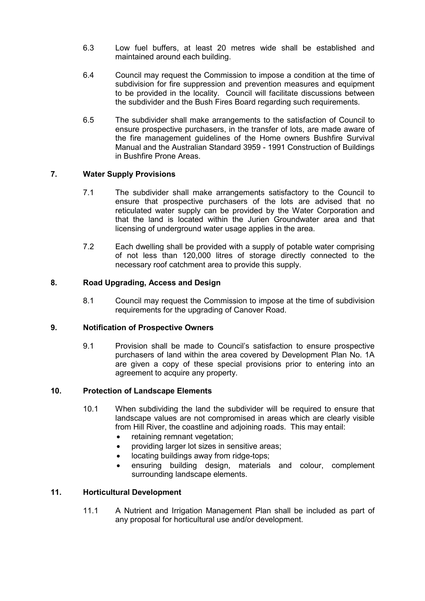- 6.3 Low fuel buffers, at least 20 metres wide shall be established and maintained around each building.
- 6.4 Council may request the Commission to impose a condition at the time of subdivision for fire suppression and prevention measures and equipment to be provided in the locality. Council will facilitate discussions between the subdivider and the Bush Fires Board regarding such requirements.
- 6.5 The subdivider shall make arrangements to the satisfaction of Council to ensure prospective purchasers, in the transfer of lots, are made aware of the fire management guidelines of the Home owners Bushfire Survival Manual and the Australian Standard 3959 - 1991 Construction of Buildings in Bushfire Prone Areas.

# 7. Water Supply Provisions

- 7.1 The subdivider shall make arrangements satisfactory to the Council to ensure that prospective purchasers of the lots are advised that no reticulated water supply can be provided by the Water Corporation and that the land is located within the Jurien Groundwater area and that licensing of underground water usage applies in the area.
- 7.2 Each dwelling shall be provided with a supply of potable water comprising of not less than 120,000 litres of storage directly connected to the necessary roof catchment area to provide this supply.

# 8. Road Upgrading, Access and Design

8.1 Council may request the Commission to impose at the time of subdivision requirements for the upgrading of Canover Road.

## 9. Notification of Prospective Owners

9.1 Provision shall be made to Council's satisfaction to ensure prospective purchasers of land within the area covered by Development Plan No. 1A are given a copy of these special provisions prior to entering into an agreement to acquire any property.

### 10. Protection of Landscape Elements

- 10.1 When subdividing the land the subdivider will be required to ensure that landscape values are not compromised in areas which are clearly visible from Hill River, the coastline and adjoining roads. This may entail:
	- retaining remnant vegetation;
	- providing larger lot sizes in sensitive areas;
	- locating buildings away from ridge-tops;
	- ensuring building design, materials and colour, complement surrounding landscape elements.

## 11. Horticultural Development

11.1 A Nutrient and Irrigation Management Plan shall be included as part of any proposal for horticultural use and/or development.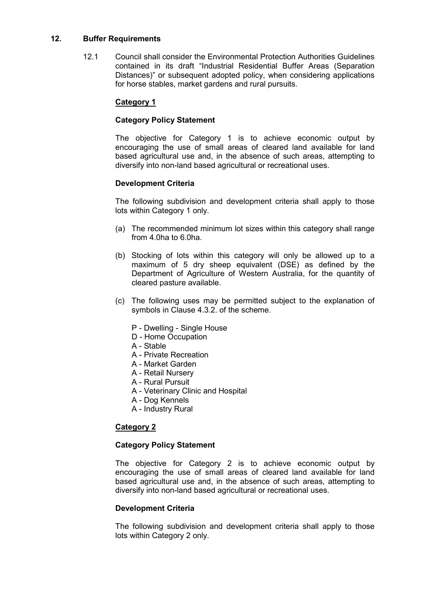## 12. Buffer Requirements

12.1 Council shall consider the Environmental Protection Authorities Guidelines contained in its draft "Industrial Residential Buffer Areas (Separation Distances)" or subsequent adopted policy, when considering applications for horse stables, market gardens and rural pursuits.

# Category 1

# Category Policy Statement

The objective for Category 1 is to achieve economic output by encouraging the use of small areas of cleared land available for land based agricultural use and, in the absence of such areas, attempting to diversify into non-land based agricultural or recreational uses.

# Development Criteria

The following subdivision and development criteria shall apply to those lots within Category 1 only.

- (a) The recommended minimum lot sizes within this category shall range from 4.0ha to 6.0ha.
- (b) Stocking of lots within this category will only be allowed up to a maximum of 5 dry sheep equivalent (DSE) as defined by the Department of Agriculture of Western Australia, for the quantity of cleared pasture available.
- (c) The following uses may be permitted subject to the explanation of symbols in Clause 4.3.2. of the scheme.
	- P Dwelling Single House
	- D Home Occupation
	- A Stable
	- A Private Recreation
	- A Market Garden
	- A Retail Nursery
	- A Rural Pursuit
	- A Veterinary Clinic and Hospital
	- A Dog Kennels
	- A Industry Rural

# **Category 2**

## Category Policy Statement

The objective for Category 2 is to achieve economic output by encouraging the use of small areas of cleared land available for land based agricultural use and, in the absence of such areas, attempting to diversify into non-land based agricultural or recreational uses.

### Development Criteria

The following subdivision and development criteria shall apply to those lots within Category 2 only.